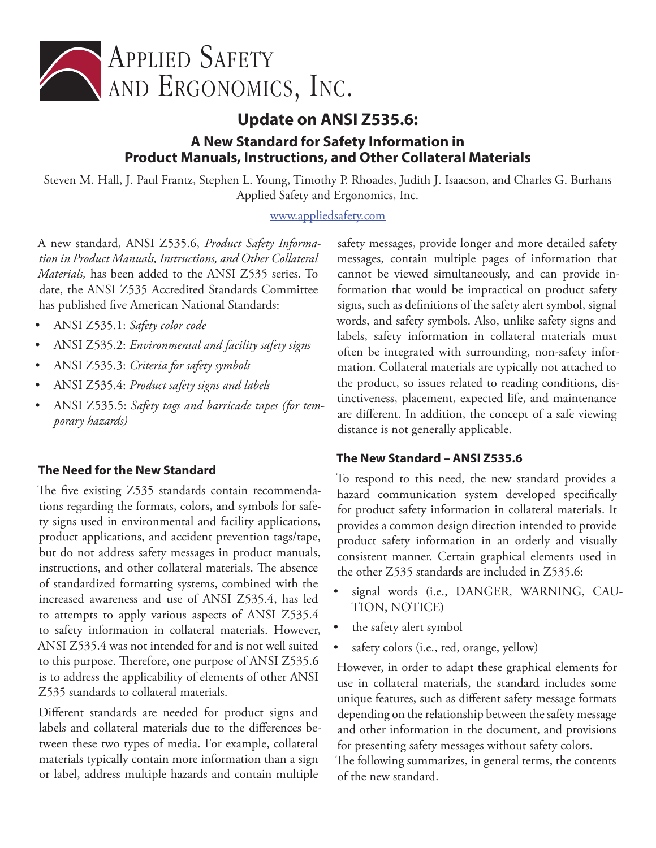

# **Update on ANSI Z535.6: A New Standard for Safety Information in Product Manuals, Instructions, and Other Collateral Materials**

Steven M. Hall, J. Paul Frantz, Stephen L. Young, Timothy P. Rhoades, Judith J. Isaacson, and Charles G. Burhans Applied Safety and Ergonomics, Inc.

#### [www.appliedsafety.com](http://www.appliedsafety.com)

A new standard, ANSI Z535.6, *Product Safety Information in Product Manuals, Instructions, and Other Collateral Materials,* has been added to the ANSI Z535 series. To date, the ANSI Z535 Accredited Standards Committee has published five American National Standards:

- ANSI Z535.1: *Safety color code*
- ANSI Z535.2: *Environmental and facility safety signs*
- ANSI Z535.3: *Criteria for safety symbols*
- ANSI Z535.4: *Product safety signs and labels*
- ANSI Z535.5: *Safety tags and barricade tapes (for temporary hazards)*

#### **The Need for the New Standard**

The five existing Z535 standards contain recommendations regarding the formats, colors, and symbols for safety signs used in environmental and facility applications, product applications, and accident prevention tags/tape, but do not address safety messages in product manuals, instructions, and other collateral materials. The absence of standardized formatting systems, combined with the increased awareness and use of ANSI Z535.4, has led to attempts to apply various aspects of ANSI Z535.4 to safety information in collateral materials. However, ANSI Z535.4 was not intended for and is not well suited to this purpose. Therefore, one purpose of ANSI Z535.6 is to address the applicability of elements of other ANSI Z535 standards to collateral materials.

Different standards are needed for product signs and labels and collateral materials due to the differences between these two types of media. For example, collateral materials typically contain more information than a sign or label, address multiple hazards and contain multiple

safety messages, provide longer and more detailed safety messages, contain multiple pages of information that cannot be viewed simultaneously, and can provide information that would be impractical on product safety signs, such as definitions of the safety alert symbol, signal words, and safety symbols. Also, unlike safety signs and labels, safety information in collateral materials must often be integrated with surrounding, non-safety information. Collateral materials are typically not attached to the product, so issues related to reading conditions, distinctiveness, placement, expected life, and maintenance are different. In addition, the concept of a safe viewing distance is not generally applicable.

#### **The New Standard – ANSI Z535.6**

To respond to this need, the new standard provides a hazard communication system developed specifically for product safety information in collateral materials. It provides a common design direction intended to provide product safety information in an orderly and visually consistent manner. Certain graphical elements used in the other Z535 standards are included in Z535.6:

- signal words (i.e., DANGER, WARNING, CAU-TION, NOTICE)
- the safety alert symbol
- safety colors (i.e., red, orange, yellow)

However, in order to adapt these graphical elements for use in collateral materials, the standard includes some unique features, such as different safety message formats depending on the relationship between the safety message and other information in the document, and provisions for presenting safety messages without safety colors.

The following summarizes, in general terms, the contents of the new standard.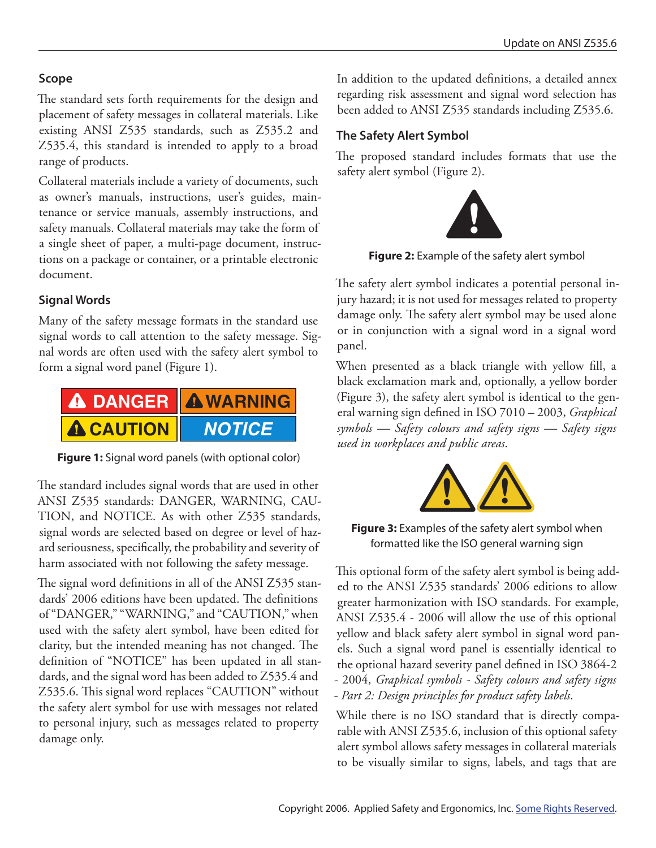### **Scope**

The standard sets forth requirements for the design and placement of safety messages in collateral materials. Like existing ANSI Z535 standards, such as Z535.2 and Z535.4, this standard is intended to apply to a broad range of products.

Collateral materials include a variety of documents, such as owner's manuals, instructions, user's guides, maintenance or service manuals, assembly instructions, and safety manuals. Collateral materials may take the form of a single sheet of paper, a multi-page document, instructions on a package or container, or a printable electronic document.

### **Signal Words**

Many of the safety message formats in the standard use signal words to call attention to the safety message. Signal words are often used with the safety alert symbol to form a signal word panel (Figure 1).



**Figure 1:** Signal word panels (with optional color)

The standard includes signal words that are used in other ANSI Z535 standards: DANGER, WARNING, CAU-TION, and NOTICE. As with other Z535 standards, signal words are selected based on degree or level of hazard seriousness, specifically, the probability and severity of harm associated with not following the safety message.

The signal word definitions in all of the ANSI Z535 standards' 2006 editions have been updated. The definitions of "DANGER," "WARNING," and "CAUTION," when used with the safety alert symbol, have been edited for clarity, but the intended meaning has not changed. The definition of "NOTICE" has been updated in all standards, and the signal word has been added to Z535.4 and Z535.6. This signal word replaces "CAUTION" without the safety alert symbol for use with messages not related to personal injury, such as messages related to property damage only.

In addition to the updated definitions, a detailed annex regarding risk assessment and signal word selection has been added to ANSI Z535 standards including Z535.6.

## **The Safety Alert Symbol**

The proposed standard includes formats that use the safety alert symbol (Figure 2).



**Figure 2:** Example of the safety alert symbol

The safety alert symbol indicates a potential personal injury hazard; it is not used for messages related to property damage only. The safety alert symbol may be used alone or in conjunction with a signal word in a signal word panel.

When presented as a black triangle with yellow fill, a black exclamation mark and, optionally, a yellow border (Figure 3), the safety alert symbol is identical to the general warning sign defined in ISO 7010 – 2003, *Graphical symbols — Safety colours and safety signs — Safety signs used in workplaces and public areas*.



**Figure 3:** Examples of the safety alert symbol when formatted like the ISO general warning sign

This optional form of the safety alert symbol is being added to the ANSI Z535 standards' 2006 editions to allow greater harmonization with ISO standards. For example, ANSI Z535.4 - 2006 will allow the use of this optional yellow and black safety alert symbol in signal word panels. Such a signal word panel is essentially identical to the optional hazard severity panel defined in ISO 3864-2 - 2004, *Graphical symbols - Safety colours and safety signs - Part 2: Design principles for product safety labels*.

While there is no ISO standard that is directly comparable with ANSI Z535.6, inclusion of this optional safety alert symbol allows safety messages in collateral materials to be visually similar to signs, labels, and tags that are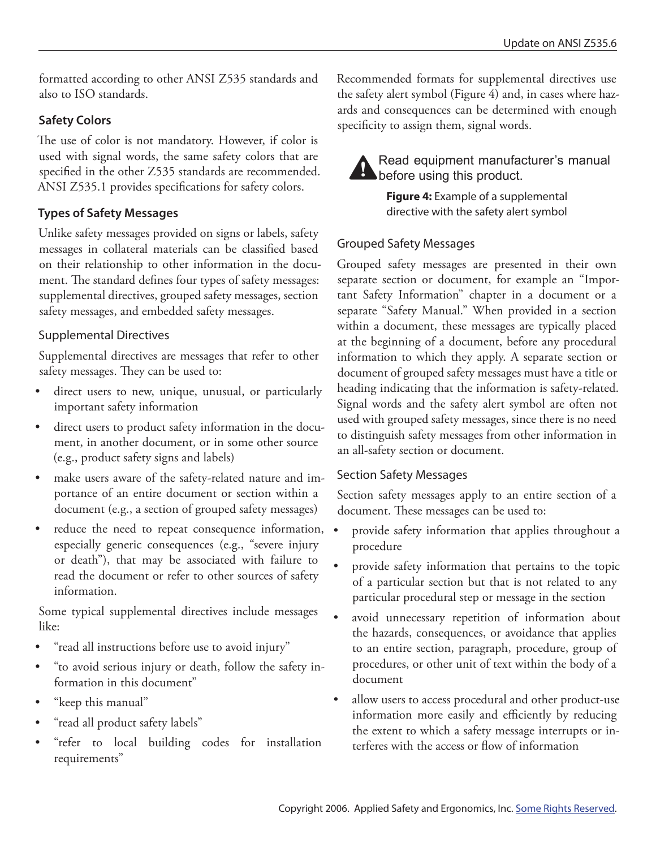formatted according to other ANSI Z535 standards and also to ISO standards.

### **Safety Colors**

The use of color is not mandatory. However, if color is used with signal words, the same safety colors that are specified in the other Z535 standards are recommended. ANSI Z535.1 provides specifications for safety colors.

### **Types of Safety Messages**

Unlike safety messages provided on signs or labels, safety messages in collateral materials can be classified based on their relationship to other information in the document. The standard defines four types of safety messages: supplemental directives, grouped safety messages, section safety messages, and embedded safety messages.

### Supplemental Directives

Supplemental directives are messages that refer to other safety messages. They can be used to:

- direct users to new, unique, unusual, or particularly important safety information
- direct users to product safety information in the document, in another document, or in some other source (e.g., product safety signs and labels)
- make users aware of the safety-related nature and importance of an entire document or section within a document (e.g., a section of grouped safety messages)
- reduce the need to repeat consequence information, especially generic consequences (e.g., "severe injury or death"), that may be associated with failure to read the document or refer to other sources of safety information.

Some typical supplemental directives include messages like:

- "read all instructions before use to avoid injury"
- "to avoid serious injury or death, follow the safety information in this document"
- "keep this manual"
- "read all product safety labels"
- "refer to local building codes for installation requirements"

Recommended formats for supplemental directives use the safety alert symbol (Figure 4) and, in cases where hazards and consequences can be determined with enough specificity to assign them, signal words.



**A** Read equipment manufacturer's manual<br>before using this product.

**Figure 4:** Example of a supplemental directive with the safety alert symbol

### Grouped Safety Messages

Grouped safety messages are presented in their own separate section or document, for example an "Important Safety Information" chapter in a document or a separate "Safety Manual." When provided in a section within a document, these messages are typically placed at the beginning of a document, before any procedural information to which they apply. A separate section or document of grouped safety messages must have a title or heading indicating that the information is safety-related. Signal words and the safety alert symbol are often not used with grouped safety messages, since there is no need to distinguish safety messages from other information in an all-safety section or document.

### Section Safety Messages

Section safety messages apply to an entire section of a document. These messages can be used to:

- provide safety information that applies throughout a procedure
- provide safety information that pertains to the topic of a particular section but that is not related to any particular procedural step or message in the section
- avoid unnecessary repetition of information about the hazards, consequences, or avoidance that applies to an entire section, paragraph, procedure, group of procedures, or other unit of text within the body of a document
- allow users to access procedural and other product-use information more easily and efficiently by reducing the extent to which a safety message interrupts or interferes with the access or flow of information